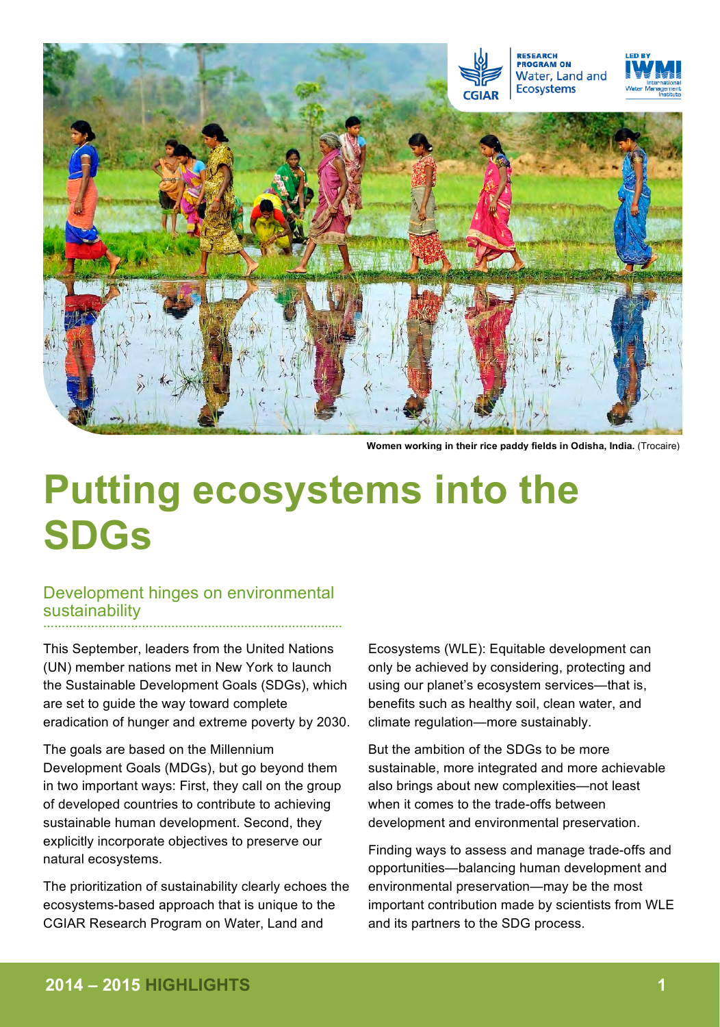

**Women working in their rice paddy fields in Odisha, India.** (Trocaire)

# **Putting ecosystems into the SDGs**

### Development hinges on environmental sustainability **…………………………………………………………………….…**

This September, leaders from the United Nations (UN) member nations met in New York to launch the Sustainable Development Goals (SDGs), which are set to guide the way toward complete eradication of hunger and extreme poverty by 2030.

The goals are based on the Millennium Development Goals (MDGs), but go beyond them in two important ways: First, they call on the group of developed countries to contribute to achieving sustainable human development. Second, they explicitly incorporate objectives to preserve our natural ecosystems.

The prioritization of sustainability clearly echoes the ecosystems-based approach that is unique to the CGIAR Research Program on Water, Land and

Ecosystems (WLE): Equitable development can only be achieved by considering, protecting and using our planet's ecosystem services—that is, benefits such as healthy soil, clean water, and climate regulation—more sustainably.

But the ambition of the SDGs to be more sustainable, more integrated and more achievable also brings about new complexities—not least when it comes to the trade-offs between development and environmental preservation.

Finding ways to assess and manage trade-offs and opportunities—balancing human development and environmental preservation—may be the most important contribution made by scientists from WLE and its partners to the SDG process.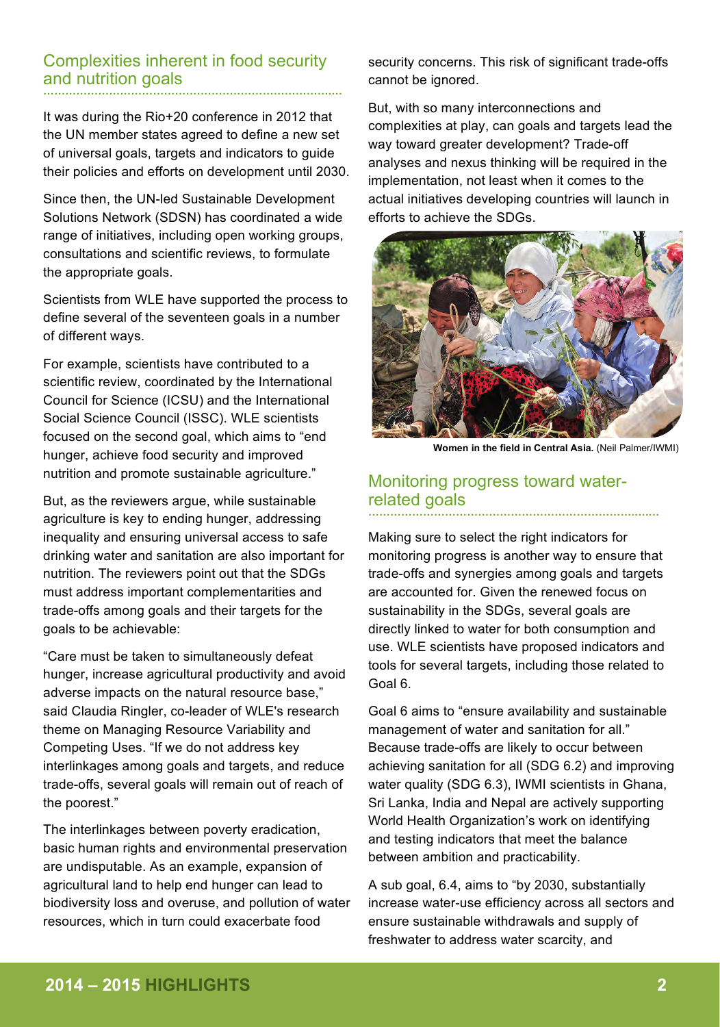#### Complexities inherent in food security and nutrition goals **…………………………………………………………………….…**

It was during the Rio+20 conference in 2012 that the UN member states agreed to define a new set of universal goals, targets and indicators to guide their policies and efforts on development until 2030.

Since then, the UN-led Sustainable Development Solutions Network (SDSN) has coordinated a wide range of initiatives, including open working groups, consultations and scientific reviews, to formulate the appropriate goals.

Scientists from WLE have supported the process to define several of the seventeen goals in a number of different ways.

For example, scientists have contributed to a scientific review, coordinated by the International Council for Science (ICSU) and the International Social Science Council (ISSC). WLE scientists focused on the second goal, which aims to "end hunger, achieve food security and improved nutrition and promote sustainable agriculture."

But, as the reviewers argue, while sustainable agriculture is key to ending hunger, addressing inequality and ensuring universal access to safe drinking water and sanitation are also important for nutrition. The reviewers point out that the SDGs must address important complementarities and trade-offs among goals and their targets for the goals to be achievable:

"Care must be taken to simultaneously defeat hunger, increase agricultural productivity and avoid adverse impacts on the natural resource base," said Claudia Ringler, co-leader of WLE's research theme on Managing Resource Variability and Competing Uses. "If we do not address key interlinkages among goals and targets, and reduce trade-offs, several goals will remain out of reach of the poorest."

The interlinkages between poverty eradication, basic human rights and environmental preservation are undisputable. As an example, expansion of agricultural land to help end hunger can lead to biodiversity loss and overuse, and pollution of water resources, which in turn could exacerbate food

security concerns. This risk of significant trade-offs cannot be ignored.

But, with so many interconnections and complexities at play, can goals and targets lead the way toward greater development? Trade-off analyses and nexus thinking will be required in the implementation, not least when it comes to the actual initiatives developing countries will launch in efforts to achieve the SDGs.



**Women in the field in Central Asia.** (Neil Palmer/IWMI)

#### Monitoring progress toward waterrelated goals **……………………………………………………………….….…**

Making sure to select the right indicators for monitoring progress is another way to ensure that trade-offs and synergies among goals and targets are accounted for. Given the renewed focus on sustainability in the SDGs, several goals are directly linked to water for both consumption and use. WLE scientists have proposed indicators and tools for several targets, including those related to Goal 6.

Goal 6 aims to "ensure availability and sustainable management of water and sanitation for all." Because trade-offs are likely to occur between achieving sanitation for all (SDG 6.2) and improving water quality (SDG 6.3), IWMI scientists in Ghana, Sri Lanka, India and Nepal are actively supporting World Health Organization's work on identifying and testing indicators that meet the balance between ambition and practicability.

A sub goal, 6.4, aims to "by 2030, substantially increase water-use efficiency across all sectors and ensure sustainable withdrawals and supply of freshwater to address water scarcity, and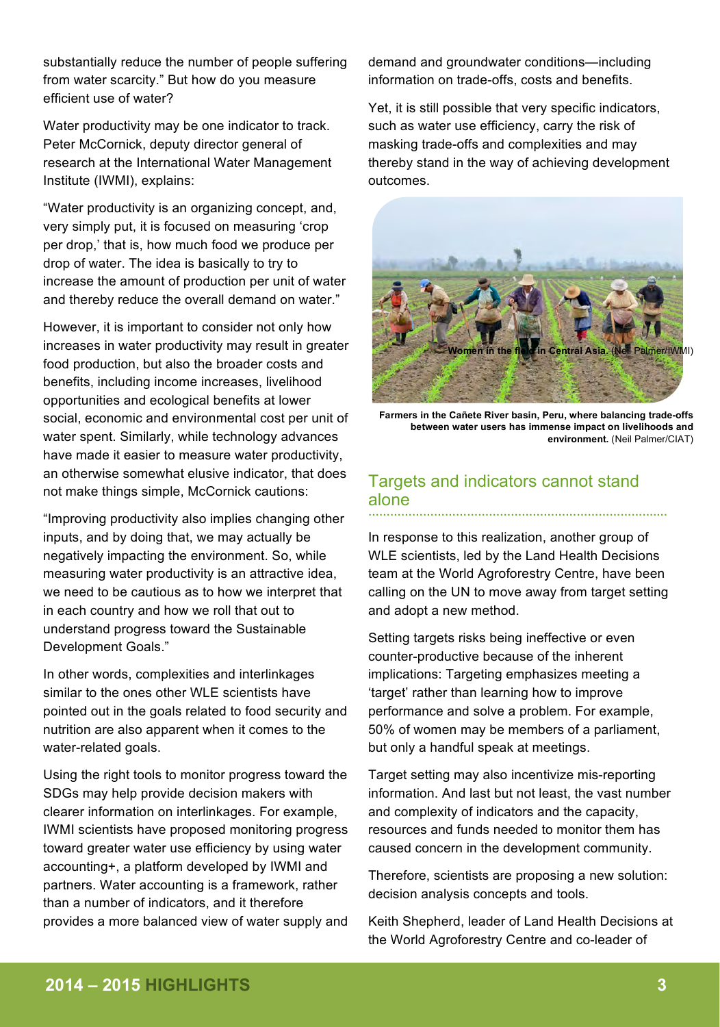substantially reduce the number of people suffering from water scarcity." But how do you measure efficient use of water?

Water productivity may be one indicator to track. Peter McCornick, deputy director general of research at the International Water Management Institute (IWMI), explains:

"Water productivity is an organizing concept, and, very simply put, it is focused on measuring 'crop per drop,' that is, how much food we produce per drop of water. The idea is basically to try to increase the amount of production per unit of water and thereby reduce the overall demand on water."

However, it is important to consider not only how increases in water productivity may result in greater food production, but also the broader costs and benefits, including income increases, livelihood opportunities and ecological benefits at lower social, economic and environmental cost per unit of water spent. Similarly, while technology advances have made it easier to measure water productivity, an otherwise somewhat elusive indicator, that does not make things simple, McCornick cautions:

"Improving productivity also implies changing other inputs, and by doing that, we may actually be negatively impacting the environment. So, while measuring water productivity is an attractive idea, we need to be cautious as to how we interpret that in each country and how we roll that out to understand progress toward the Sustainable Development Goals."

In other words, complexities and interlinkages similar to the ones other WLE scientists have pointed out in the goals related to food security and nutrition are also apparent when it comes to the water-related goals.

Using the right tools to monitor progress toward the SDGs may help provide decision makers with clearer information on interlinkages. For example, IWMI scientists have proposed monitoring progress toward greater water use efficiency by using water accounting+, a platform developed by IWMI and partners. Water accounting is a framework, rather than a number of indicators, and it therefore provides a more balanced view of water supply and demand and groundwater conditions—including information on trade-offs, costs and benefits.

Yet, it is still possible that very specific indicators, such as water use efficiency, carry the risk of masking trade-offs and complexities and may thereby stand in the way of achieving development outcomes.



**Farmers in the Cañete River basin, Peru, where balancing trade-offs between water users has immense impact on livelihoods and environment.** (Neil Palmer/CIAT)

### Targets and indicators cannot stand alone **…………………………………………………………………….…**

In response to this realization, another group of WLE scientists, led by the Land Health Decisions team at the World Agroforestry Centre, have been calling on the UN to move away from target setting and adopt a new method.

Setting targets risks being ineffective or even counter-productive because of the inherent implications: Targeting emphasizes meeting a 'target' rather than learning how to improve performance and solve a problem. For example, 50% of women may be members of a parliament, but only a handful speak at meetings.

Target setting may also incentivize mis-reporting information. And last but not least, the vast number and complexity of indicators and the capacity, resources and funds needed to monitor them has caused concern in the development community.

Therefore, scientists are proposing a new solution: decision analysis concepts and tools.

Keith Shepherd, leader of Land Health Decisions at the World Agroforestry Centre and co-leader of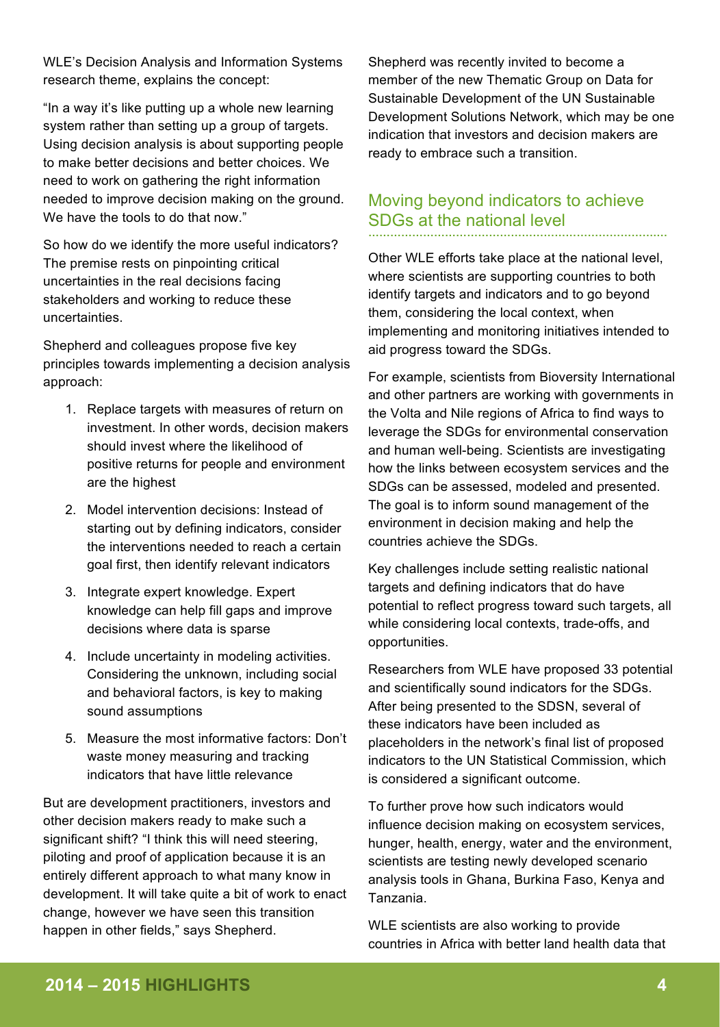WLE's Decision Analysis and Information Systems research theme, explains the concept:

"In a way it's like putting up a whole new learning system rather than setting up a group of targets. Using decision analysis is about supporting people to make better decisions and better choices. We need to work on gathering the right information needed to improve decision making on the ground. We have the tools to do that now."

So how do we identify the more useful indicators? The premise rests on pinpointing critical uncertainties in the real decisions facing stakeholders and working to reduce these uncertainties.

Shepherd and colleagues propose five key principles towards implementing a decision analysis approach:

- 1. Replace targets with measures of return on investment. In other words, decision makers should invest where the likelihood of positive returns for people and environment are the highest
- 2. Model intervention decisions: Instead of starting out by defining indicators, consider the interventions needed to reach a certain goal first, then identify relevant indicators
- 3. Integrate expert knowledge. Expert knowledge can help fill gaps and improve decisions where data is sparse
- 4. Include uncertainty in modeling activities. Considering the unknown, including social and behavioral factors, is key to making sound assumptions
- 5. Measure the most informative factors: Don't waste money measuring and tracking indicators that have little relevance

But are development practitioners, investors and other decision makers ready to make such a significant shift? "I think this will need steering, piloting and proof of application because it is an entirely different approach to what many know in development. It will take quite a bit of work to enact change, however we have seen this transition happen in other fields," says Shepherd.

Shepherd was recently invited to become a member of the new Thematic Group on Data for Sustainable Development of the UN Sustainable Development Solutions Network, which may be one indication that investors and decision makers are ready to embrace such a transition.

## Moving beyond indicators to achieve SDGs at the national level **…………………………………………………………………….…**

Other WLE efforts take place at the national level, where scientists are supporting countries to both identify targets and indicators and to go beyond them, considering the local context, when implementing and monitoring initiatives intended to aid progress toward the SDGs.

For example, scientists from Bioversity International and other partners are working with governments in the Volta and Nile regions of Africa to find ways to leverage the SDGs for environmental conservation and human well-being. Scientists are investigating how the links between ecosystem services and the SDGs can be assessed, modeled and presented. The goal is to inform sound management of the environment in decision making and help the countries achieve the SDGs.

Key challenges include setting realistic national targets and defining indicators that do have potential to reflect progress toward such targets, all while considering local contexts, trade-offs, and opportunities.

Researchers from WLE have proposed 33 potential and scientifically sound indicators for the SDGs. After being presented to the SDSN, several of these indicators have been included as placeholders in the network's final list of proposed indicators to the UN Statistical Commission, which is considered a significant outcome.

To further prove how such indicators would influence decision making on ecosystem services, hunger, health, energy, water and the environment, scientists are testing newly developed scenario analysis tools in Ghana, Burkina Faso, Kenya and Tanzania.

WLE scientists are also working to provide countries in Africa with better land health data that